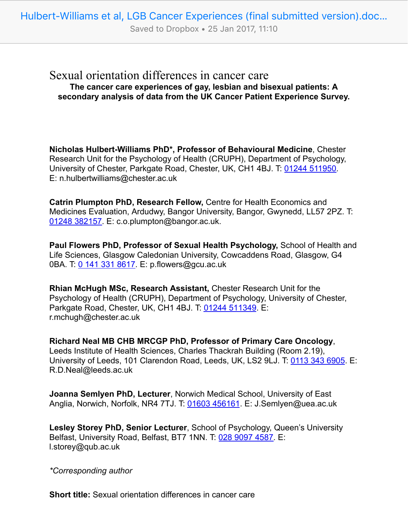Saved to Dropbox • 25 Jan 2017, 11:10

## Sexual orientation differences in cancer care **The cancer care experiences of gay, lesbian and bisexual patients: A secondary analysis of data from the UK Cancer Patient Experience Survey.**

**Nicholas Hulbert-Williams PhD\*, Professor of Behavioural Medicine**, Chester Research Unit for the Psychology of Health (CRUPH), Department of Psychology, University of Chester, Parkgate Road, Chester, UK, CH1 4BJ. T: 01244 511950. E: n.hulbertwilliams@chester.ac.uk

**Catrin Plumpton PhD, Research Fellow,** Centre for Health Economics and Medicines Evaluation, Ardudwy, Bangor University, Bangor, Gwynedd, LL57 2PZ. T: 01248 382157. E: c.o.plumpton@bangor.ac.uk.

**Paul Flowers PhD, Professor of Sexual Health Psychology,** School of Health and Life Sciences, Glasgow Caledonian University, Cowcaddens Road, Glasgow, G4 0BA. T: 0 141 331 8617. E: p.flowers@gcu.ac.uk

**Rhian McHugh MSc, Research Assistant,** Chester Research Unit for the Psychology of Health (CRUPH), Department of Psychology, University of Chester, Parkgate Road, Chester, UK, CH1 4BJ. T: 01244 511349. E: r.mchugh@chester.ac.uk

**Richard Neal MB CHB MRCGP PhD, Professor of Primary Care Oncology**, Leeds Institute of Health Sciences, Charles Thackrah Building (Room 2.19), University of Leeds, 101 Clarendon Road, Leeds, UK, LS2 9LJ. T: 0113 343 6905. E: R.D.Neal@leeds.ac.uk

**Joanna Semlyen PhD, Lecturer**, Norwich Medical School, University of East Anglia, Norwich, Norfolk, NR4 7TJ. T: 01603 456161. E: J.Semlyen@uea.ac.uk

**Lesley Storey PhD, Senior Lecturer**, School of Psychology, Queen's University Belfast, University Road, Belfast, BT7 1NN. T: 028 9097 4587. E: l.storey@qub.ac.uk

*\*Corresponding author*

**Short title:** Sexual orientation differences in cancer care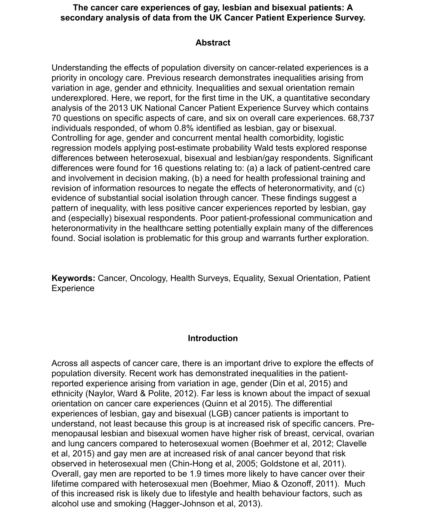#### **The cancer care experiences of gay, lesbian and bisexual patients: A secondary analysis of data from the UK Cancer Patient Experience Survey.**

#### **Abstract**

Understanding the effects of population diversity on cancer-related experiences is a priority in oncology care. Previous research demonstrates inequalities arising from variation in age, gender and ethnicity. Inequalities and sexual orientation remain underexplored. Here, we report, for the first time in the UK, a quantitative secondary analysis of the 2013 UK National Cancer Patient Experience Survey which contains 70 questions on specific aspects of care, and six on overall care experiences. 68,737 individuals responded, of whom 0.8% identified as lesbian, gay or bisexual. Controlling for age, gender and concurrent mental health comorbidity, logistic regression models applying post-estimate probability Wald tests explored response differences between heterosexual, bisexual and lesbian/gay respondents. Significant differences were found for 16 questions relating to: (a) a lack of patient-centred care and involvement in decision making, (b) a need for health professional training and revision of information resources to negate the effects of heteronormativity, and (c) evidence of substantial social isolation through cancer. These findings suggest a pattern of inequality, with less positive cancer experiences reported by lesbian, gay and (especially) bisexual respondents. Poor patient-professional communication and heteronormativity in the healthcare setting potentially explain many of the differences found. Social isolation is problematic for this group and warrants further exploration.

**Keywords:** Cancer, Oncology, Health Surveys, Equality, Sexual Orientation, Patient **Experience** 

### **Introduction**

Across all aspects of cancer care, there is an important drive to explore the effects of population diversity. Recent work has demonstrated inequalities in the patientreported experience arising from variation in age, gender (Din et al, 2015) and ethnicity (Naylor, Ward & Polite, 2012). Far less is known about the impact of sexual orientation on cancer care experiences (Quinn et al 2015). The differential experiences of lesbian, gay and bisexual (LGB) cancer patients is important to understand, not least because this group is at increased risk of specific cancers. Premenopausal lesbian and bisexual women have higher risk of breast, cervical, ovarian and lung cancers compared to heterosexual women (Boehmer et al, 2012; Clavelle et al, 2015) and gay men are at increased risk of anal cancer beyond that risk observed in heterosexual men (Chin-Hong et al, 2005; Goldstone et al, 2011). Overall, gay men are reported to be 1.9 times more likely to have cancer over their lifetime compared with heterosexual men (Boehmer, Miao & Ozonoff, 2011). Much of this increased risk is likely due to lifestyle and health behaviour factors, such as alcohol use and smoking (Hagger-Johnson et al, 2013).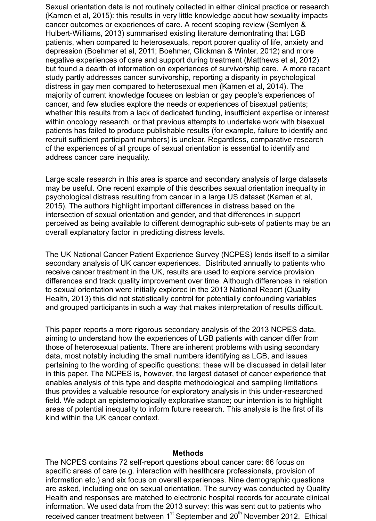Sexual orientation data is not routinely collected in either clinical practice or research (Kamen et al, 2015): this results in very little knowledge about how sexuality impacts cancer outcomes or experiences of care. A recent scoping review (Semlyen & Hulbert-Williams, 2013) summarised existing literature demontrating that LGB patients, when compared to heterosexuals, report poorer quality of life, anxiety and depression (Boehmer et al, 2011; Boehmer, Glickman & Winter, 2012) and more negative experiences of care and support during treatment (Matthews et al, 2012) but found a dearth of information on experiences of survivorship care. A more recent study partly addresses cancer survivorship, reporting a disparity in psychological distress in gay men compared to heterosexual men (Kamen et al, 2014). The majority of current knowledge focuses on lesbian or gay people's experiences of cancer, and few studies explore the needs or experiences of bisexual patients; whether this results from a lack of dedicated funding, insufficient expertise or interest within oncology research, or that previous attempts to undertake work with bisexual patients has failed to produce publishable results (for example, failure to identify and recruit sufficient participant numbers) is unclear. Regardless, comparative research of the experiences of all groups of sexual orientation is essential to identify and address cancer care inequality.

Large scale research in this area is sparce and secondary analysis of large datasets may be useful. One recent example of this describes sexual orientation inequality in psychological distress resulting from cancer in a large US dataset (Kamen et al, 2015). The authors highlight important differences in distress based on the intersection of sexual orientation and gender, and that differences in support perceived as being available to different demographic sub-sets of patients may be an overall explanatory factor in predicting distress levels.

The UK National Cancer Patient Experience Survey (NCPES) lends itself to a similar secondary analysis of UK cancer experiences. Distributed annually to patients who receive cancer treatment in the UK, results are used to explore service provision differences and track quality improvement over time. Although differences in relation to sexual orientation were initially explored in the 2013 National Report (Quality Health, 2013) this did not statistically control for potentially confounding variables and grouped participants in such a way that makes interpretation of results difficult.

This paper reports a more rigorous secondary analysis of the 2013 NCPES data, aiming to understand how the experiences of LGB patients with cancer differ from those of heterosexual patients. There are inherent problems with using secondary data, most notably including the small numbers identifying as LGB, and issues pertaining to the wording of specific questions: these will be discussed in detail later in this paper. The NCPES is, however, the largest dataset of cancer experience that enables analysis of this type and despite methodological and sampling limitations thus provides a valuable resource for exploratory analysis in this under-researched field. We adopt an epistemologically explorative stance; our intention is to highlight areas of potential inequality to inform future research. This analysis is the first of its kind within the UK cancer context.

#### **Methods**

The NCPES contains 72 self-report questions about cancer care: 66 focus on specific areas of care (e.g. interaction with healthcare professionals, provision of information etc.) and six focus on overall experiences. Nine demographic questions are asked, including one on sexual orientation. The survey was conducted by Quality Health and responses are matched to electronic hospital records for accurate clinical information. We used data from the 2013 survey: this was sent out to patients who received cancer treatment between  $1<sup>st</sup>$  September and  $20<sup>th</sup>$  November 2012. Ethical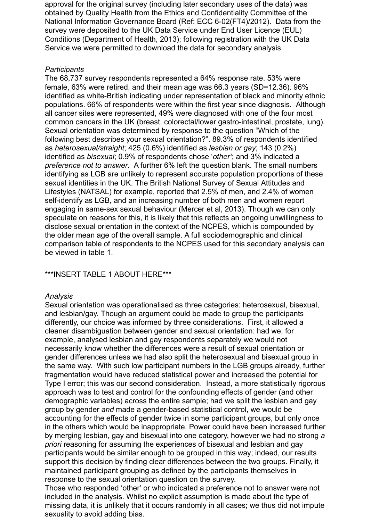approval for the original survey (including later secondary uses of the data) was obtained by Quality Health from the Ethics and Confidentiality Committee of the National Information Governance Board (Ref: ECC 6-02(FT4)/2012). Data from the survey were deposited to the UK Data Service under End User Licence (EUL) Conditions (Department of Health, 2013); following registration with the UK Data Service we were permitted to download the data for secondary analysis.

#### *Participants*

The 68,737 survey respondents represented a 64% response rate. 53% were female, 63% were retired, and their mean age was 66.3 years (SD=12.36). 96% identified as white-British indicating under representation of black and minority ethnic populations. 66% of respondents were within the first year since diagnosis. Although all cancer sites were represented, 49% were diagnosed with one of the four most common cancers in the UK (breast, colorectal/lower gastro-intestinal, prostate, lung). Sexual orientation was determined by response to the question "Which of the following best describes your sexual orientation?". 89.3% of respondents identified as *heterosexual/straight*; 425 (0.6%) identified as *lesbian or gay*; 143 (0.2%) identified as *bisexual*; 0.9% of respondents chose '*other'*; and 3% indicated a *preference not to answer*. A further 6% left the question blank. The small numbers identifying as LGB are unlikely to represent accurate population proportions of these sexual identities in the UK. The British National Survey of Sexual Attitudes and Lifestyles (NATSAL) for example, reported that 2.5% of men, and 2.4% of women self-identify as LGB, and an increasing number of both men and women report engaging in same-sex sexual behaviour (Mercer et al, 2013). Though we can only speculate on reasons for this, it is likely that this reflects an ongoing unwillingness to disclose sexual orientation in the context of the NCPES, which is compounded by the older mean age of the overall sample. A full sociodemographic and clinical comparison table of respondents to the NCPES used for this secondary analysis can be viewed in table 1.

#### \*\*\*INSERT TABLE 1 ABOUT HERE\*\*\*

#### *Analysis*

Sexual orientation was operationalised as three categories: heterosexual, bisexual, and lesbian/gay. Though an argument could be made to group the participants differently, our choice was informed by three considerations. First, it allowed a cleaner disambiguation between gender and sexual orientation: had we, for example, analysed lesbian and gay respondents separately we would not necessarily know whether the differences were a result of sexual orientation or gender differences unless we had also split the heterosexual and bisexual group in the same way. With such low participant numbers in the LGB groups already, further fragmentation would have reduced statistical power and increased the potential for Type I error; this was our second consideration. Instead, a more statistically rigorous approach was to test and control for the confounding effects of gender (and other demographic variables) across the entire sample; had we split the lesbian and gay group by gender *and* made a gender-based statistical control, we would be accounting for the effects of gender twice in some participant groups, but only once in the others which would be inappropriate. Power could have been increased further by merging lesbian, gay and bisexual into one category, however we had no strong *a priori* reasoning for assuming the experiences of bisexual and lesbian and gay participants would be similar enough to be grouped in this way; indeed, our results support this decision by finding clear differences between the two groups. Finally, it maintained participant grouping as defined by the participants themselves in response to the sexual orientation question on the survey.

Those who responded 'other' or who indicated a preference not to answer were not included in the analysis. Whilst no explicit assumption is made about the type of missing data, it is unlikely that it occurs randomly in all cases; we thus did not impute sexuality to avoid adding bias.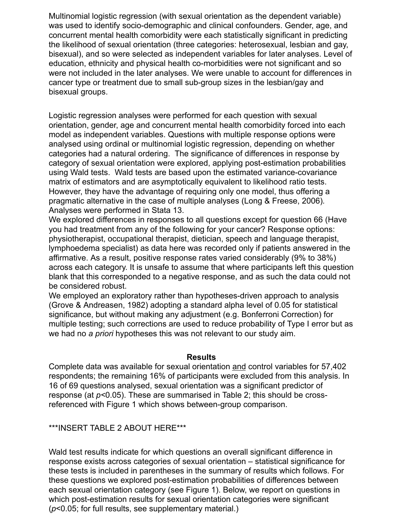Multinomial logistic regression (with sexual orientation as the dependent variable) was used to identify socio-demographic and clinical confounders. Gender, age, and concurrent mental health comorbidity were each statistically significant in predicting the likelihood of sexual orientation (three categories: heterosexual, lesbian and gay, bisexual), and so were selected as independent variables for later analyses. Level of education, ethnicity and physical health co-morbidities were not significant and so were not included in the later analyses. We were unable to account for differences in cancer type or treatment due to small sub-group sizes in the lesbian/gay and bisexual groups.

Logistic regression analyses were performed for each question with sexual orientation, gender, age and concurrent mental health comorbidity forced into each model as independent variables. Questions with multiple response options were analysed using ordinal or multinomial logistic regression, depending on whether categories had a natural ordering. The significance of differences in response by category of sexual orientation were explored, applying post-estimation probabilities using Wald tests. Wald tests are based upon the estimated variance-covariance matrix of estimators and are asymptotically equivalent to likelihood ratio tests. However, they have the advantage of requiring only one model, thus offering a pragmatic alternative in the case of multiple analyses (Long & Freese, 2006)*.* Analyses were performed in Stata 13.

We explored differences in responses to all questions except for question 66 (Have you had treatment from any of the following for your cancer? Response options: physiotherapist, occupational therapist, dietician, speech and language therapist, lymphoedema specialist) as data here was recorded only if patients answered in the affirmative. As a result, positive response rates varied considerably (9% to 38%) across each category. It is unsafe to assume that where participants left this question blank that this corresponded to a negative response, and as such the data could not be considered robust.

We employed an exploratory rather than hypotheses-driven approach to analysis (Grove & Andreasen, 1982) adopting a standard alpha level of 0.05 for statistical significance, but without making any adjustment (e.g. Bonferroni Correction) for multiple testing; such corrections are used to reduce probability of Type I error but as we had no *a priori* hypotheses this was not relevant to our study aim.

#### **Results**

Complete data was available for sexual orientation and control variables for 57,402 respondents; the remaining 16% of participants were excluded from this analysis. In 16 of 69 questions analysed, sexual orientation was a significant predictor of response (at *p<*0.05). These are summarised in Table 2; this should be crossreferenced with Figure 1 which shows between-group comparison.

\*\*\*INSERT TABLE 2 ABOUT HERE\*\*\*

Wald test results indicate for which questions an overall significant difference in response exists across categories of sexual orientation – statistical significance for these tests is included in parentheses in the summary of results which follows. For these questions we explored post-estimation probabilities of differences between each sexual orientation category (see Figure 1). Below, we report on questions in which post-estimation results for sexual orientation categories were significant (*p*<0.05; for full results, see supplementary material.)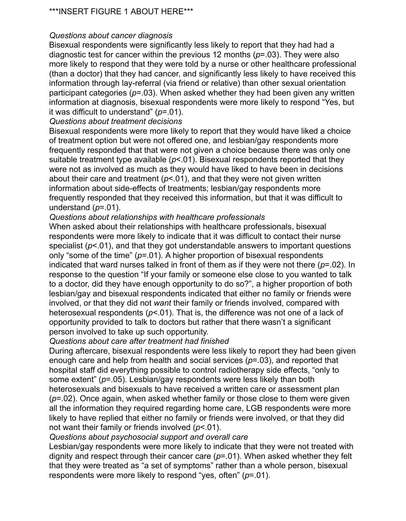### *Questions about cancer diagnosis*

Bisexual respondents were significantly less likely to report that they had had a diagnostic test for cancer within the previous 12 months (*p*=.03). They were also more likely to respond that they were told by a nurse or other healthcare professional (than a doctor) that they had cancer, and significantly less likely to have received this information through lay-referral (via friend or relative) than other sexual orientation participant categories (*p*=.03). When asked whether they had been given any written information at diagnosis, bisexual respondents were more likely to respond "Yes, but it was difficult to understand" (*p*=.01).

### *Questions about treatment decisions*

Bisexual respondents were more likely to report that they would have liked a choice of treatment option but were not offered one, and lesbian/gay respondents more frequently responded that that were not given a choice because there was only one suitable treatment type available ( $p$ <.01). Bisexual respondents reported that they were not as involved as much as they would have liked to have been in decisions about their care and treatment  $(p< 01)$ , and that they were not given written information about side-effects of treatments; lesbian/gay respondents more frequently responded that they received this information, but that it was difficult to understand (*p*=.01).

### *Questions about relationships with healthcare professionals*

When asked about their relationships with healthcare professionals, bisexual respondents were more likely to indicate that it was difficult to contact their nurse specialist ( $p$ <.01), and that they got understandable answers to important questions only "some of the time" (*p*=.01). A higher proportion of bisexual respondents indicated that ward nurses talked in front of them as if they were not there (*p*=.02). In response to the question "If your family or someone else close to you wanted to talk to a doctor, did they have enough opportunity to do so?", a higher proportion of both lesbian/gay and bisexual respondents indicated that either no family or friends were involved, or that they did not *want* their family or friends involved, compared with heterosexual respondents (*p*<.01). That is, the difference was not one of a lack of opportunity provided to talk to doctors but rather that there wasn't a significant person involved to take up such opportunity.

### *Questions about care after treatment had finished*

During aftercare, bisexual respondents were less likely to report they had been given enough care and help from health and social services (*p*=.03), and reported that hospital staff did everything possible to control radiotherapy side effects, "only to some extent" (*p*=.05). Lesbian/gay respondents were less likely than both heterosexuals and bisexuals to have received a written care or assessment plan (*p*=.02). Once again, when asked whether family or those close to them were given all the information they required regarding home care, LGB respondents were more likely to have replied that either no family or friends were involved, or that they did not want their family or friends involved (*p*<.01).

### *Questions about psychosocial support and overall care*

Lesbian/gay respondents were more likely to indicate that they were not treated with dignity and respect through their cancer care (*p*=.01). When asked whether they felt that they were treated as "a set of symptoms" rather than a whole person, bisexual respondents were more likely to respond "yes, often" (*p*=.01).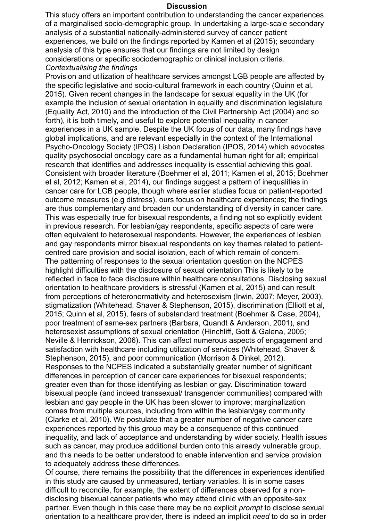#### **Discussion**

This study offers an important contribution to understanding the cancer experiences of a marginalised socio-demographic group. In undertaking a large-scale secondary analysis of a substantial nationally-administered survey of cancer patient experiences, we build on the findings reported by Kamen et al (2015); secondary analysis of this type ensures that our findings are not limited by design considerations or specific sociodemographic or clinical inclusion criteria. *Contextualising the findings*

Provision and utilization of healthcare services amongst LGB people are affected by the specific legislative and socio-cultural framework in each country (Quinn et al, 2015). Given recent changes in the landscape for sexual equality in the UK (for example the inclusion of sexual orientation in equality and discrimination legislature (Equality Act, 2010) and the introduction of the Civil Partnership Act (2004) and so forth), it is both timely, and useful to explore potential inequality in cancer experiences in a UK sample. Despite the UK focus of our data, many findings have global implications, and are relevant especially in the context of the International Psycho-Oncology Society (IPOS) Lisbon Declaration (IPOS, 2014) which advocates quality psychosocial oncology care as a fundamental human right for all; empirical research that identifies and addresses inequality is essential achieving this goal. Consistent with broader literature (Boehmer et al, 2011; Kamen et al, 2015; Boehmer et al, 2012; Kamen et al, 2014), our findings suggest a pattern of inequalities in cancer care for LGB people, though where earlier studies focus on patient-reported outcome measures (e.g distress), ours focus on healthcare experiences; the findings are thus complementary and broaden our understanding of diversity in cancer care. This was especially true for bisexual respondents, a finding not so explicitly evident in previous research. For lesbian/gay respondents, specific aspects of care were often equivalent to heterosexual respondents. However, the experiences of lesbian and gay respondents mirror bisexual respondents on key themes related to patientcentred care provision and social isolation, each of which remain of concern. The patterning of responses to the sexual orientation question on the NCPES highlight difficulties with the disclosure of sexual orientation This is likely to be reflected in face to face disclosure within healthcare consultations. Disclosing sexual orientation to healthcare providers is stressful (Kamen et al, 2015) and can result from perceptions of heteronormativity and heterosexism (Irwin, 2007; Meyer, 2003), stigmatization (Whitehead, Shaver & Stephenson, 2015), discrimination (Elliott et al, 2015; Quinn et al, 2015), fears of substandard treatment (Boehmer & Case, 2004), poor treatment of same-sex partners (Barbara, Quandt & Anderson, 2001), and heterosexist assumptions of sexual orientation (Hinchliff, Gott & Galena, 2005; Neville & Henrickson, 2006). This can affect numerous aspects of engagement and satisfaction with healthcare including utilization of services (Whitehead, Shaver & Stephenson, 2015), and poor communication (Morrison & Dinkel, 2012). Responses to the NCPES indicated a substantially greater number of significant differences in perception of cancer care experiences for bisexual respondents; greater even than for those identifying as lesbian or gay. Discrimination toward bisexual people (and indeed transsexual/ transgender communities) compared with lesbian and gay people in the UK has been slower to improve; marginalization comes from multiple sources, including from within the lesbian/gay community (Clarke et al, 2010). We postulate that a greater number of negative cancer care experiences reported by this group may be a consequence of this continued inequality, and lack of acceptance and understanding by wider society. Health issues such as cancer, may produce additional burden onto this already vulnerable group, and this needs to be better understood to enable intervention and service provision to adequately address these differences.

Of course, there remains the possibility that the differences in experiences identified in this study are caused by unmeasured, tertiary variables. It is in some cases difficult to reconcile, for example, the extent of differences observed for a nondisclosing bisexual cancer patients who may attend clinic with an opposite-sex partner. Even though in this case there may be no explicit *prompt* to disclose sexual orientation to a healthcare provider, there is indeed an implicit *need* to do so in order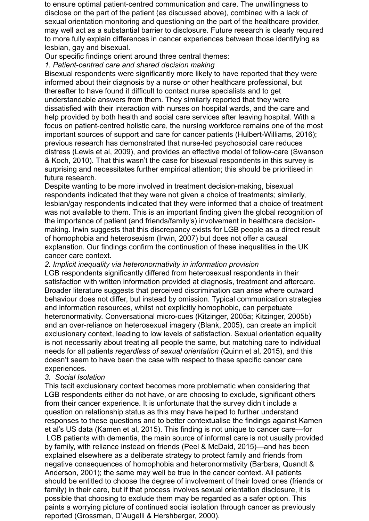to ensure optimal patient-centred communication and care. The unwillingness to disclose on the part of the patient (as discussed above), combined with a lack of sexual orientation monitoring and questioning on the part of the healthcare provider, may well act as a substantial barrier to disclosure. Future research is clearly required to more fully explain differences in cancer experiences between those identifying as lesbian, gay and bisexual.

Our specific findings orient around three central themes:

*1. Patient-centred care and shared decision making*

Bisexual respondents were significantly more likely to have reported that they were informed about their diagnosis by a nurse or other healthcare professional, but thereafter to have found it difficult to contact nurse specialists and to get understandable answers from them. They similarly reported that they were dissatisfied with their interaction with nurses on hospital wards, and the care and help provided by both health and social care services after leaving hospital. With a focus on patient-centred holistic care, the nursing workforce remains one of the most important sources of support and care for cancer patients (Hulbert-Williams, 2016); previous research has demonstrated that nurse-led psychosocial care reduces distress (Lewis et al, 2009), and provides an effective model of follow-care (Swanson & Koch, 2010). That this wasn't the case for bisexual respondents in this survey is surprising and necessitates further empirical attention; this should be prioritised in future research.

Despite wanting to be more involved in treatment decision-making, bisexual respondents indicated that they were not given a choice of treatments; similarly, lesbian/gay respondents indicated that they were informed that a choice of treatment was not available to them. This is an important finding given the global recognition of the importance of patient (and friends/family's) involvement in healthcare decisionmaking. Irwin suggests that this discrepancy exists for LGB people as a direct result of homophobia and heterosexism (Irwin, 2007) but does not offer a causal explanation. Our findings confirm the continuation of these inequalities in the UK cancer care context.

*2. Implicit inequality via heteronormativity in information provision*

LGB respondents significantly differed from heterosexual respondents in their satisfaction with written information provided at diagnosis, treatment and aftercare. Broader literature suggests that perceived discrimination can arise where outward behaviour does not differ, but instead by omission. Typical communication strategies and information resources, whilst not explicitly homophobic, can perpetuate heteronormativity. Conversational micro-cues (Kitzinger, 2005a; Kitzinger, 2005b) and an over-reliance on heterosexual imagery (Blank, 2005), can create an implicit exclusionary context, leading to low levels of satisfaction. Sexual orientation equality is not necessarily about treating all people the same, but matching care to individual needs for all patients *regardless of sexual orientation* (Quinn et al, 2015), and this doesn't seem to have been the case with respect to these specific cancer care experiences.

#### *3. Social Isolation*

This tacit exclusionary context becomes more problematic when considering that LGB respondents either do not have, or are choosing to exclude, significant others from their cancer experience. It is unfortunate that the survey didn't include a question on relationship status as this may have helped to further understand responses to these questions and to better contextualise the findings against Kamen et al's US data (Kamen et al, 2015). This finding is not unique to cancer care—for LGB patients with dementia, the main source of informal care is not usually provided by family, with reliance instead on friends (Peel & McDaid, 2015)—and has been explained elsewhere as a deliberate strategy to protect family and friends from negative consequences of homophobia and heteronormativity (Barbara, Quandt & Anderson, 2001); the same may well be true in the cancer context. All patients should be entitled to choose the degree of involvement of their loved ones (friends or family) in their care, but if that process involves sexual orientation disclosure, it is possible that choosing to exclude them may be regarded as a safer option. This paints a worrying picture of continued social isolation through cancer as previously reported (Grossman, D'Augelli & Hershberger, 2000).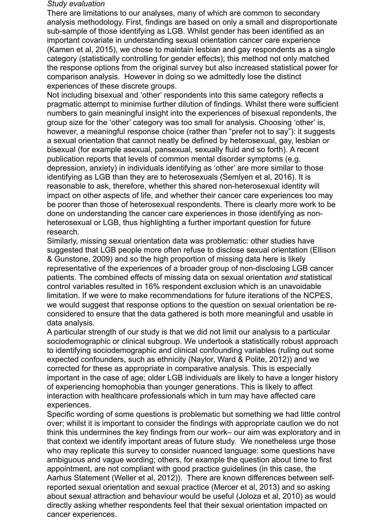#### *Study evaluation*

There are limitations to our analyses, many of which are common to secondary analysis methodology. First, findings are based on only a small and disproportionate sub-sample of those identifying as LGB. Whilst gender has been identified as an important covariate in understanding sexual orientation cancer care experience (Kamen et al, 2015), we chose to maintain lesbian and gay respondents as a single category (statistically controlling for gender effects); this method not only matched the response options from the original survey but also increased statistical power for comparison analysis. However in doing so we admittedly lose the distinct experiences of these discrete groups.

Not including bisexual and 'other' respondents into this same category reflects a pragmatic attempt to minimise further dilution of findings. Whilst there were sufficient numbers to gain meaningful insight into the experiences of bisexual repondents, the group size for the 'other' category was too small for analysis. Choosing 'other' is, however, a meaningful response choice (rather than "prefer not to say"): it suggests a sexual orientation that cannot neatly be defined by heterosexual, gay, lesbian or bisexual (for example asexual, pansexual, sexually fluid and so forth). A recent publication reports that levels of common mental disorder symptoms (e.g. depression, anxiety) in individuals identifying as 'other' are more similar to those identifying as LGB than they are to heterosexuals (Semlyen et al, 2016). It is reasonable to ask, therefore, whether this shared non-heterosexual identity will impact on other aspects of life, and whether their cancer care experiences too may be poorer than those of heterosexual respondents. There is clearly more work to be done on understanding the cancer care experiences in those identifying as nonheterosexual or LGB, thus highlighting a further important question for future research.

Similarly, missing sexual orientation data was problematic: other studies have suggested that LGB people more often refuse to disclose sexual orientation (Ellison & Gunstone, 2009) and so the high proportion of missing data here is likely representative of the experiences of a broader group of non-disclosing LGB cancer patients. The combined effects of missing data on sexual orientation *and* statistical control variables resulted in 16% respondent exclusion which is an unavoidable limitation. If we were to make recommendations for future iterations of the NCPES, we would suggest that response options to the question on sexual orientation be reconsidered to ensure that the data gathered is both more meaningful and usable in data analysis.

A particular strength of our study is that we did not limit our analysis to a particular sociodemographic or clinical subgroup. We undertook a statistically robust approach to identifying sociodemographic and clinical confounding variables (ruling out some expected confounders, such as ethnicity (Naylor, Ward & Polite, 2012)) and we corrected for these as appropriate in comparative analysis. This is especially important in the case of age; older LGB individuals are likely to have a longer history of experiencing homophobia than younger generations. This is likely to affect interaction with healthcare professionals which in turn may have affected care experiences.

Specific wording of some questions is problematic but something we had little control over; whilst it is important to consider the findings with appropriate caution we do not think this undermines the key findings from our work– our aim was exploratory and in that context we identify important areas of future study. We nonetheless urge those who may replicate this survey to consider nuanced language: some questions have ambiguous and vague wording; others, for example the question about time to first appointment, are not compliant with good practice guidelines (in this case, the Aarhus Statement (Weller et al, 2012)). There are known differences between selfreported sexual orientation and sexual practice (Mercer et al, 2013) and so asking about sexual attraction and behaviour would be useful (Joloza et al, 2010) as would directly asking whether respondents feel that their sexual orientation impacted on cancer experiences.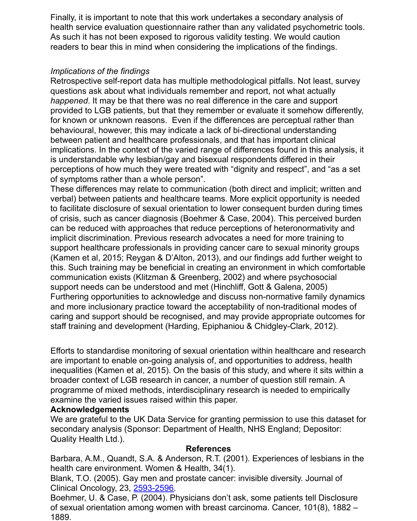Finally, it is important to note that this work undertakes a secondary analysis of health service evaluation questionnaire rather than any validated psychometric tools. As such it has not been exposed to rigorous validity testing. We would caution readers to bear this in mind when considering the implications of the findings.

## *Implications of the findings*

Retrospective self-report data has multiple methodological pitfalls. Not least, survey questions ask about what individuals remember and report, not what actually *happened*. It may be that there was no real difference in the care and support provided to LGB patients, but that they remember or evaluate it somehow differently, for known or unknown reasons. Even if the differences are perceptual rather than behavioural, however, this may indicate a lack of bi-directional understanding between patient and healthcare professionals, and that has important clinical implications. In the context of the varied range of differences found in this analysis, it is understandable why lesbian/gay and bisexual respondents differed in their perceptions of how much they were treated with "dignity and respect", and "as a set of symptoms rather than a whole person".

These differences may relate to communication (both direct and implicit; written and verbal) between patients and healthcare teams. More explicit opportunity is needed to facilitate disclosure of sexual orientation to lower consequent burden during times of crisis, such as cancer diagnosis (Boehmer & Case, 2004). This perceived burden can be reduced with approaches that reduce perceptions of heteronormativity and implicit discrimination. Previous research advocates a need for more training to support healthcare professionals in providing cancer care to sexual minority groups (Kamen et al, 2015; Reygan & D'Alton, 2013), and our findings add further weight to this. Such training may be beneficial in creating an environment in which comfortable communication exists (Klitzman & Greenberg, 2002) and where psychosocial support needs can be understood and met (Hinchliff, Gott & Galena, 2005) Furthering opportunities to acknowledge and discuss non-normative family dynamics and more inclusionary practice toward the acceptability of non-traditional modes of caring and support should be recognised, and may provide appropriate outcomes for staff training and development (Harding, Epiphaniou & Chidgley-Clark, 2012).

Efforts to standardise monitoring of sexual orientation within healthcare and research are important to enable on-going analysis of, and opportunities to address, health inequalities (Kamen et al, 2015). On the basis of this study, and where it sits within a broader context of LGB research in cancer, a number of question still remain. A programme of mixed methods, interdisciplinary research is needed to empirically examine the varied issues raised within this paper.

### **Acknowledgements**

We are grateful to the UK Data Service for granting permission to use this dataset for secondary analysis (Sponsor: Department of Health, NHS England; Depositor: Quality Health Ltd.).

#### **References**

Barbara, A.M., Quandt, S.A. & Anderson, R.T. (2001). Experiences of lesbians in the health care environment. Women & Health, 34(1).

Blank, T.O. (2005). Gay men and prostate cancer: invisible diversity. Journal of Clinical Oncology, 23, [2593-2596.](tel:2593-2596)

Boehmer, U. & Case, P. (2004). Physicians don't ask, some patients tell Disclosure of sexual orientation among women with breast carcinoma. Cancer, 101(8), 1882 – 1889.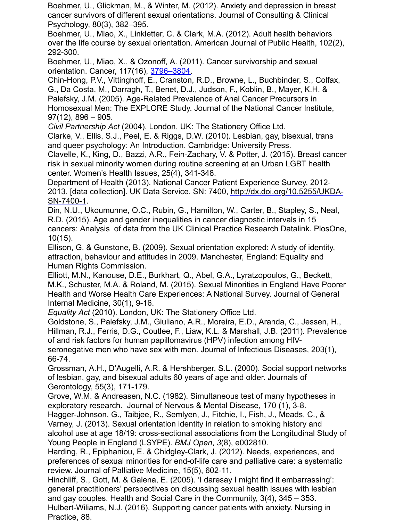Boehmer, U., Glickman, M., & Winter, M. (2012). Anxiety and depression in breast cancer survivors of different sexual orientations. Journal of Consulting & Clinical Psychology, 80(3), 382–395.

Boehmer, U., Miao, X., Linkletter, C. & Clark, M.A. (2012). Adult health behaviors over the life course by sexual orientation. American Journal of Public Health, 102(2), 292-300.

Boehmer, U., Miao, X., & Ozonoff, A. (2011). Cancer survivorship and sexual orientation. Cancer, 117(16), [3796–3804.](tel:3796%E2%80%933804)

Chin-Hong, P.V., Vittinghoff, E., Cranston, R.D., Browne, L., Buchbinder, S., Colfax, G., Da Costa, M., Darragh, T., Benet, D.J., Judson, F., Koblin, B., Mayer, K.H. & Palefsky, J.M. (2005). Age-Related Prevalence of Anal Cancer Precursors in Homosexual Men: The EXPLORE Study. Journal of the National Cancer Institute, 97(12), 896 – 905.

*Civil Partnership Act* (2004). London, UK: The Stationery Office Ltd.

Clarke, V., Ellis, S.J., Peel, E. & Riggs, D.W. (2010). Lesbian, gay, bisexual, trans and queer psychology: An Introduction. Cambridge: University Press.

Clavelle, K., King, D., Bazzi, A.R., Fein-Zachary, V. & Potter, J. (2015). Breast cancer risk in sexual minority women during routine screening at an Urban LGBT health center. Women's Health Issues, 25(4), 341-348.

Department of Health (2013). National Cancer Patient Experience Survey, 2012- [2013. \[data collection\]. UK Data Service. SN: 7400, http://dx.doi.org/10.5255/UKDA-](http://dx.doi.org/10.5255/UKDA-SN-7400-1)SN-7400-1.

Din, N.U., Ukoumunne, O.C., Rubin, G., Hamilton, W., Carter, B., Stapley, S., Neal, R.D. (2015). Age and gender inequalities in cancer diagnostic intervals in 15 cancers: Analysis of data from the UK Clinical Practice Research Datalink. PlosOne, 10(15).

Ellison, G. & Gunstone, B. (2009). Sexual orientation explored: A study of identity, attraction, behaviour and attitudes in 2009. Manchester, England: Equality and Human Rights Commission.

Elliott, M.N., Kanouse, D.E., Burkhart, Q., Abel, G.A., Lyratzopoulos, G., Beckett, M.K., Schuster, M.A. & Roland, M. (2015). Sexual Minorities in England Have Poorer Health and Worse Health Care Experiences: A National Survey. Journal of General Internal Medicine, 30(1), 9-16.

*Equality Act* (2010). London, UK: The Stationery Office Ltd.

Goldstone, S., Palefsky, J.M., Giuliano, A.R., Moreira, E.D., Aranda, C., Jessen, H., Hillman, R.J., Ferris, D.G., Coutlee, F., Liaw, K.L. & Marshall, J.B. (2011). Prevalence of and risk factors for human papillomavirus (HPV) infection among HIVseronegative men who have sex with men. Journal of Infectious Diseases, 203(1), 66-74.

Grossman, A.H., D'Augelli, A.R. & Hershberger, S.L. (2000). Social support networks of lesbian, gay, and bisexual adults 60 years of age and older. Journals of Gerontology, 55(3), 171-179.

Grove, W.M. & Andreasen, N.C. (1982). Simultaneous test of many hypotheses in exploratory research. Journal of Nervous & Mental Disease, 170 (1), 3-8.

Hagger-Johnson, G., Taibjee, R., Semlyen, J., Fitchie, I., Fish, J., Meads, C., & Varney, J. (2013). Sexual orientation identity in relation to smoking history and alcohol use at age 18/19: cross-sectional associations from the Longitudinal Study of Young People in England (LSYPE). *BMJ Open*, *3*(8), e002810.

Harding, R., Epiphaniou, E. & Chidgley-Clark, J. (2012). Needs, experiences, and preferences of sexual minorities for end-of-life care and palliative care: a systematic review. Journal of Palliative Medicine, 15(5), 602-11.

Hinchliff, S., Gott, M. & Galena, E. (2005). 'I daresay I might find it embarrassing': general practitioners' perspectives on discussing sexual health issues with lesbian and gay couples. Health and Social Care in the Community, 3(4), 345 – 353. Hulbert-Wiliams, N.J. (2016). Supporting cancer patients with anxiety. Nursing in Practice, 88.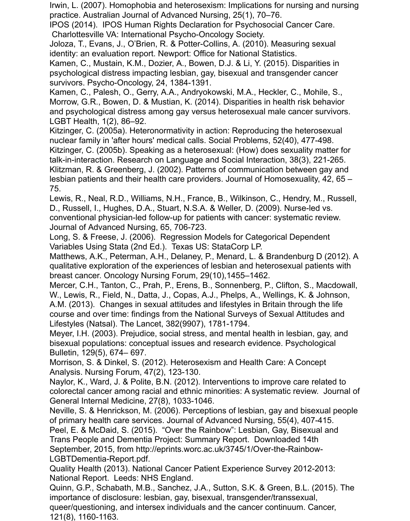Irwin, L. (2007). Homophobia and heterosexism: Implications for nursing and nursing practice. Australian Journal of Advanced Nursing, 25(1), 70–76.

IPOS (2014). IPOS Human Rights Declaration for Psychosocial Cancer Care. Charlottesville VA: International Psycho-Oncology Society.

Joloza, T., Evans, J., O'Brien, R. & Potter-Collins, A. (2010). Measuring sexual identity: an evaluation report. Newport: Office for National Statistics.

Kamen, C., Mustain, K.M., Dozier, A., Bowen, D.J. & Li, Y. (2015). Disparities in psychological distress impacting lesbian, gay, bisexual and transgender cancer survivors. Psycho-Oncology, 24, 1384-1391.

Kamen, C., Palesh, O., Gerry, A.A., Andryokowski, M.A., Heckler, C., Mohile, S., Morrow, G.R., Bowen, D. & Mustian, K. (2014). Disparities in health risk behavior and psychological distress among gay versus heterosexual male cancer survivors. LGBT Health, 1(2), 86–92.

Kitzinger, C. (2005a). Heteronormativity in action: Reproducing the heterosexual nuclear family in 'after hours' medical calls. Social Problems, 52(40), 477-498. Kitzinger, C. (2005b). Speaking as a heterosexual: (How) does sexuality matter for talk-in-interaction. Research on Language and Social Interaction, 38(3), 221-265. Klitzman, R. & Greenberg, J. (2002). Patterns of communication between gay and lesbian patients and their health care providers. Journal of Homosexuality, 42, 65 – 75.

Lewis, R., Neal, R.D., Williams, N.H., France, B., Wilkinson, C., Hendry, M., Russell, D., Russell, I., Hughes, D.A., Stuart, N.S.A. & Weller, D. (2009). Nurse-led vs. conventional physician-led follow-up for patients with cancer: systematic review. Journal of Advanced Nursing, 65, 706-723.

Long, S. & Freese, J. (2006). Regression Models for Categorical Dependent Variables Using Stata (2nd Ed.). Texas US: StataCorp LP.

Matthews, A.K., Peterman, A.H., Delaney, P., Menard, L. & Brandenburg D (2012). A qualitative exploration of the experiences of lesbian and heterosexual patients with breast cancer. Oncology Nursing Forum, 29(10),1455–1462.

Mercer, C.H., Tanton, C., Prah, P., Erens, B., Sonnenberg, P., Clifton, S., Macdowall, W., Lewis, R., Field, N., Datta, J., Copas, A.J., Phelps, A., Wellings, K. & Johnson, A.M. (2013). Changes in sexual attitudes and lifestyles in Britain through the life course and over time: findings from the National Surveys of Sexual Attitudes and Lifestyles (Natsal). The Lancet, 382(9907), 1781-1794.

Meyer, I.H. (2003). Prejudice, social stress, and mental health in lesbian, gay, and bisexual populations: conceptual issues and research evidence. Psychological Bulletin, 129(5), 674– 697.

Morrison, S. & Dinkel, S. (2012). Heterosexism and Health Care: A Concept Analysis. Nursing Forum, 47(2), 123-130.

Naylor, K., Ward, J. & Polite, B.N. (2012). Interventions to improve care related to colorectal cancer among racial and ethnic minorities: A systematic review. Journal of General Internal Medicine, 27(8), 1033-1046.

Neville, S. & Henrickson, M. (2006). Perceptions of lesbian, gay and bisexual people of primary health care services. Journal of Advanced Nursing, 55(4), 407-415.

Peel, E. & McDaid, S. (2015). "Over the Rainbow": Lesbian, Gay, Bisexual and Trans People and Dementia Project: Summary Report. Downloaded 14th September, 2015, from http://eprints.worc.ac.uk/3745/1/Over-the-Rainbow-LGBTDementia-Report.pdf.

Quality Health (2013). National Cancer Patient Experience Survey 2012-2013: National Report. Leeds: NHS England.

Quinn, G.P., Schabath, M.B., Sanchez, J.A., Sutton, S.K. & Green, B.L. (2015). The importance of disclosure: lesbian, gay, bisexual, transgender/transsexual, queer/questioning, and intersex individuals and the cancer continuum. Cancer, 121(8), 1160-1163.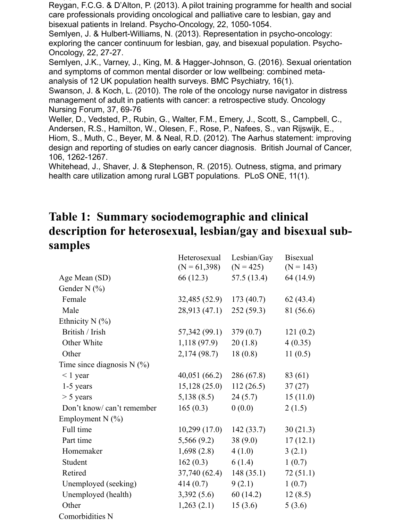Reygan, F.C.G. & D'Alton, P. (2013). A pilot training programme for health and social care professionals providing oncological and palliative care to lesbian, gay and bisexual patients in Ireland. Psycho-Oncology, 22, 1050-1054.

Semlyen, J. & Hulbert-Williams, N. (2013). Representation in psycho-oncology: exploring the cancer continuum for lesbian, gay, and bisexual population. Psycho-Oncology, 22, 27-27.

Semlyen, J.K., Varney, J., King, M. & Hagger-Johnson, G. (2016). Sexual orientation and symptoms of common mental disorder or low wellbeing: combined metaanalysis of 12 UK population health surveys. BMC Psychiatry, 16(1).

Swanson, J. & Koch, L. (2010). The role of the oncology nurse navigator in distress management of adult in patients with cancer: a retrospective study. Oncology Nursing Forum, 37, 69-76

Weller, D., Vedsted, P., Rubin, G., Walter, F.M., Emery, J., Scott, S., Campbell, C., Andersen, R.S., Hamilton, W., Olesen, F., Rose, P., Nafees, S., van Rijswijk, E., Hiom, S., Muth, C., Beyer, M. & Neal, R.D. (2012). The Aarhus statement: improving design and reporting of studies on early cancer diagnosis. British Journal of Cancer, 106, 1262-1267.

Whitehead, J., Shaver, J. & Stephenson, R. (2015). Outness, stigma, and primary health care utilization among rural LGBT populations. PLoS ONE, 11(1).

## **Table 1: Summary sociodemographic and clinical description for heterosexual, lesbian/gay and bisexual subsamples**

|                              | Heterosexual   | Lesbian/Gay | <b>Bisexual</b> |
|------------------------------|----------------|-------------|-----------------|
|                              | $(N = 61,398)$ | $(N = 425)$ | $(N = 143)$     |
| Age Mean (SD)                | 66 (12.3)      | 57.5 (13.4) | 64 (14.9)       |
| Gender N $(\% )$             |                |             |                 |
| Female                       | 32,485(52.9)   | 173(40.7)   | 62(43.4)        |
| Male                         | 28,913 (47.1)  | 252(59.3)   | 81 (56.6)       |
| Ethnicity $N$ (%)            |                |             |                 |
| British / Irish              | 57,342 (99.1)  | 379(0.7)    | 121(0.2)        |
| Other White                  | 1,118(97.9)    | 20(1.8)     | 4(0.35)         |
| Other                        | 2,174(98.7)    | 18(0.8)     | 11(0.5)         |
| Time since diagnosis $N$ (%) |                |             |                 |
| $< 1$ year                   | 40,051(66.2)   | 286 (67.8)  | 83 (61)         |
| 1-5 years                    | 15,128(25.0)   | 112(26.5)   | 37(27)          |
| $> 5$ years                  | 5,138(8.5)     | 24(5.7)     | 15(11.0)        |
| Don't know/can't remember    | 165(0.3)       | 0(0.0)      | 2(1.5)          |
| Employment N (%)             |                |             |                 |
| Full time                    | 10,299(17.0)   | 142(33.7)   | 30(21.3)        |
| Part time                    | 5,566(9.2)     | 38(9.0)     | 17(12.1)        |
| Homemaker                    | 1,698(2.8)     | 4(1.0)      | 3(2.1)          |
| Student                      | 162(0.3)       | 6(1.4)      | 1(0.7)          |
| Retired                      | 37,740 (62.4)  | 148(35.1)   | 72(51.1)        |
| Unemployed (seeking)         | 414(0.7)       | 9(2.1)      | 1(0.7)          |
| Unemployed (health)          | 3,392(5.6)     | 60(14.2)    | 12(8.5)         |
| Other                        | 1,263(2.1)     | 15(3.6)     | 5(3.6)          |
| Comorbidities N              |                |             |                 |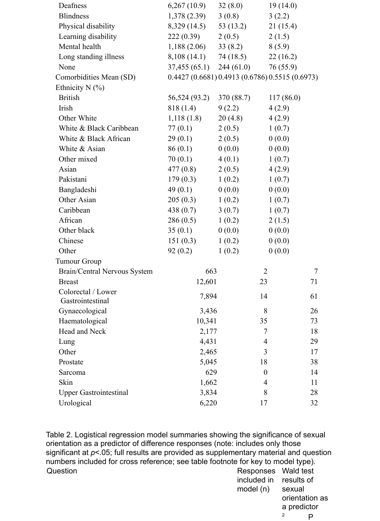| Deafness                      | 6,267(10.9)                                     | 32(8.0)     | 19(14.0)         |                |
|-------------------------------|-------------------------------------------------|-------------|------------------|----------------|
| <b>Blindness</b>              | 1,378(2.39)                                     | 3(0.8)      | 3(2.2)           |                |
| Physical disability           | 8,329 (14.5)                                    | 53 $(13.2)$ | 21(15.4)         |                |
| Learning disability           | 222(0.39)                                       | 2(0.5)      | 2(1.5)           |                |
| Mental health                 | 1,188(2.06)                                     | 33(8.2)     | 8(5.9)           |                |
| Long standing illness         | 8,108 (14.1)                                    | 74 (18.5)   | 22(16.2)         |                |
| None                          | $37,455(65.1)$ 244 (61.0)                       |             | 76(55.9)         |                |
| Comorbidities Mean (SD)       | 0.4427 (0.6681) 0.4913 (0.6786) 0.5515 (0.6973) |             |                  |                |
| Ethnicity N $(\% )$           |                                                 |             |                  |                |
| <b>British</b>                | 56,524 (93.2)                                   | 370 (88.7)  | 117(86.0)        |                |
| Irish                         | 818 (1.4)                                       | 9(2.2)      | 4(2.9)           |                |
| Other White                   | 1,118(1.8)                                      | 20(4.8)     | 4(2.9)           |                |
| White & Black Caribbean       | 77(0.1)                                         | 2(0.5)      | 1(0.7)           |                |
| White & Black African         | 29(0.1)                                         | 2(0.5)      | 0(0.0)           |                |
| White & Asian                 | 86(0.1)                                         | 0(0.0)      | 0(0.0)           |                |
| Other mixed                   | 70(0.1)                                         | 4(0.1)      | 1(0.7)           |                |
| Asian                         | 477(0.8)                                        | 2(0.5)      | 4(2.9)           |                |
| Pakistani                     | 179(0.3)                                        | 1(0.2)      | 1(0.7)           |                |
| Bangladeshi                   | 49(0.1)                                         | 0(0.0)      | 0(0.0)           |                |
| Other Asian                   | 205(0.3)                                        | 1(0.2)      | 1(0.7)           |                |
| Caribbean                     | 438 (0.7)                                       | 3(0.7)      | 1(0.7)           |                |
| African                       | 286(0.5)                                        | 1(0.2)      | 2(1.5)           |                |
| Other black                   | 35(0.1)                                         | 0(0.0)      | 0(0.0)           |                |
| Chinese                       | 151(0.3)                                        | 1(0.2)      | 0(0.0)           |                |
| Other                         | 92(0.2)                                         | 1(0.2)      | 0(0.0)           |                |
| <b>Tumour Group</b>           |                                                 |             |                  |                |
| Brain/Central Nervous System  | 663                                             |             | $\overline{2}$   | $\overline{7}$ |
| <b>Breast</b>                 | 12,601                                          |             | 23               | 71             |
| Colorectal / Lower            | 7,894                                           |             | 14               | 61             |
| Gastrointestinal              |                                                 |             |                  |                |
| Gynaecological                | 3,436                                           |             | 8                | 26             |
| Haematological                | 10,341                                          |             | 35               | 73             |
| Head and Neck                 | 2,177                                           |             | 7                | 18             |
| Lung                          | 4,431                                           |             | $\overline{4}$   | 29             |
| Other                         | 2,465                                           |             | 3                | 17             |
| Prostate                      | 5,045                                           |             | 18               | 38             |
| Sarcoma                       | 629                                             |             | $\boldsymbol{0}$ | 14             |
| Skin                          | 1,662                                           |             | 4                | 11             |
| <b>Upper Gastrointestinal</b> | 3,834                                           |             | 8                | 28             |
| Urological                    | 6,220                                           |             | 17               | 32             |

Table 2. Logistical regression model summaries showing the significance of sexual orientation as a predictor of difference responses (note: includes only those significant at *p*<.05; full results are provided as supplementary material and question numbers included for cross reference; see table footnote for key to model type). Question **Contract Contract Contract Contract Contract Contract Contract Contract Contract Contract Contract Contract Contract Contract Contract Contract Contract Contract Contract Contract Contract Contract Contract Contr** included in results of

model (n) sexual orientation as a predictor <sup>2</sup> P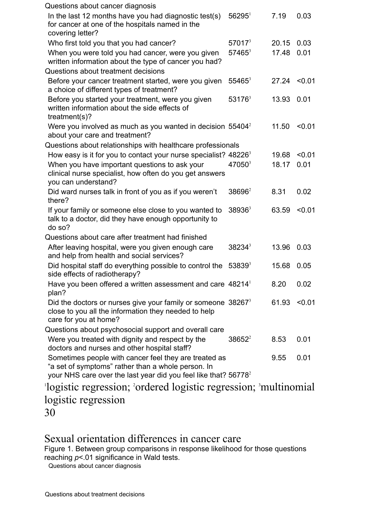| Questions about cancer diagnosis                                                                                                                                                           |                    |       |        |
|--------------------------------------------------------------------------------------------------------------------------------------------------------------------------------------------|--------------------|-------|--------|
| In the last 12 months have you had diagnostic test(s)<br>for cancer at one of the hospitals named in the<br>covering letter?                                                               | $56295^1$          | 7.19  | 0.03   |
| Who first told you that you had cancer?                                                                                                                                                    | $57017^3$          | 20.15 | 0.03   |
| When you were told you had cancer, were you given<br>written information about the type of cancer you had?                                                                                 | $57465^3$          | 17.48 | 0.01   |
| Questions about treatment decisions                                                                                                                                                        |                    |       |        |
| Before your cancer treatment started, were you given<br>a choice of different types of treatment?                                                                                          | $55465^3$          | 27.24 | < 0.01 |
| Before you started your treatment, were you given<br>written information about the side effects of<br>treatment(s)?                                                                        | $53176^3$          | 13.93 | 0.01   |
| Were you involved as much as you wanted in decision 55404 <sup>2</sup><br>about your care and treatment?                                                                                   |                    | 11.50 | < 0.01 |
| Questions about relationships with healthcare professionals                                                                                                                                |                    |       |        |
| How easy is it for you to contact your nurse specialist? $482263$                                                                                                                          |                    | 19.68 | < 0.01 |
| When you have important questions to ask your<br>clinical nurse specialist, how often do you get answers<br>you can understand?                                                            | 47050 <sup>3</sup> | 18.17 | 0.01   |
| Did ward nurses talk in front of you as if you weren't<br>there?                                                                                                                           | $38696^2$          | 8.31  | 0.02   |
| If your family or someone else close to you wanted to<br>talk to a doctor, did they have enough opportunity to<br>do so?                                                                   | $38936^3$          | 63.59 | < 0.01 |
| Questions about care after treatment had finished                                                                                                                                          |                    |       |        |
| After leaving hospital, were you given enough care<br>and help from health and social services?                                                                                            | $38234^3$          | 13.96 | 0.03   |
| Did hospital staff do everything possible to control the<br>side effects of radiotherapy?                                                                                                  | $53839^{3}$        | 15.68 | 0.05   |
| Have you been offered a written assessment and care 48214<br>plan?                                                                                                                         |                    | 8.20  | 0.02   |
| Did the doctors or nurses give your family or someone $382673$<br>close to you all the information they needed to help<br>care for you at home?                                            |                    | 61.93 | < 0.01 |
| Questions about psychosocial support and overall care                                                                                                                                      |                    |       |        |
| Were you treated with dignity and respect by the<br>doctors and nurses and other hospital staff?                                                                                           | $38652^2$          | 8.53  | 0.01   |
| Sometimes people with cancer feel they are treated as<br>"a set of symptoms" rather than a whole person. In<br>your NHS care over the last year did you feel like that? 56778 <sup>2</sup> |                    | 9.55  | 0.01   |
| logistic regression; 'ordered logistic regression; 'multinomial                                                                                                                            |                    |       |        |

# logistic regression

30

## Sexual orientation differences in cancer care

Figure 1. Between group comparisons in response likelihood for those questions reaching *p*<.01 significance in Wald tests.

Questions about cancer diagnosis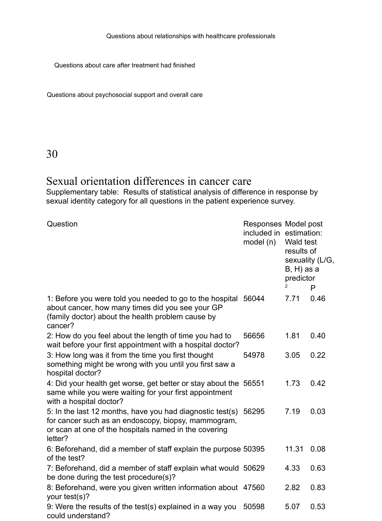Questions about relationships with healthcare professionals

Questions about care after treatment had finished

Questions about psychosocial support and overall care

30

could understand?

## Sexual orientation differences in cancer care

Supplementary table: Results of statistical analysis of difference in response by sexual identity category for all questions in the patient experience survey.

| Question                                                                                                                                                                                   | included in estimation:<br>model (n) | Responses Model post<br>Wald test<br>results of<br>sexuality (L/G,<br>$B, H$ ) as a<br>predictor<br>2<br>P |      |
|--------------------------------------------------------------------------------------------------------------------------------------------------------------------------------------------|--------------------------------------|------------------------------------------------------------------------------------------------------------|------|
| 1. Before you were told you needed to go to the hospital<br>about cancer, how many times did you see your GP<br>(family doctor) about the health problem cause by<br>cancer?               | 56044                                | 7.71                                                                                                       | 0.46 |
| 2: How do you feel about the length of time you had to<br>wait before your first appointment with a hospital doctor?                                                                       | 56656                                | 1.81                                                                                                       | 0.40 |
| 3: How long was it from the time you first thought<br>something might be wrong with you until you first saw a<br>hospital doctor?                                                          | 54978                                | 3.05                                                                                                       | 0.22 |
| 4: Did your health get worse, get better or stay about the 56551<br>same while you were waiting for your first appointment<br>with a hospital doctor?                                      |                                      | 1.73                                                                                                       | 0.42 |
| 5: In the last 12 months, have you had diagnostic test(s) 56295<br>for cancer such as an endoscopy, biopsy, mammogram,<br>or scan at one of the hospitals named in the covering<br>letter? |                                      | 7.19                                                                                                       | 0.03 |
| 6: Beforehand, did a member of staff explain the purpose 50395<br>of the test?                                                                                                             |                                      | 11.31                                                                                                      | 0.08 |
| 7: Beforehand, did a member of staff explain what would 50629<br>be done during the test procedure(s)?                                                                                     |                                      | 4.33                                                                                                       | 0.63 |
| 8: Beforehand, were you given written information about 47560<br>your test(s)?                                                                                                             |                                      | 2.82                                                                                                       | 0.83 |
| 9: Were the results of the test(s) explained in a way you                                                                                                                                  | 50598                                | 5.07                                                                                                       | 0.53 |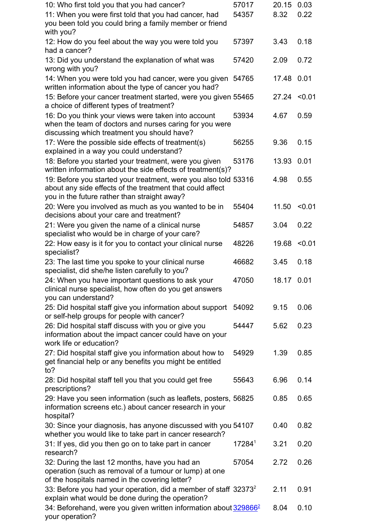| 10: Who first told you that you had cancer?                                                                                                                                  | 57017  | 20.15          | 0.03   |
|------------------------------------------------------------------------------------------------------------------------------------------------------------------------------|--------|----------------|--------|
| 11: When you were first told that you had cancer, had<br>you been told you could bring a family member or friend                                                             | 54357  | 8.32           | 0.22   |
| with you?<br>12: How do you feel about the way you were told you                                                                                                             | 57397  | 3.43           | 0.18   |
| had a cancer?                                                                                                                                                                |        |                |        |
| 13: Did you understand the explanation of what was<br>wrong with you?                                                                                                        | 57420  | 2.09           | 0.72   |
| 14: When you were told you had cancer, were you given 54765<br>written information about the type of cancer you had?                                                         |        | 17.48 0.01     |        |
| 15: Before your cancer treatment started, were you given 55465<br>a choice of different types of treatment?                                                                  |        | $27.24$ < 0.01 |        |
| 16: Do you think your views were taken into account<br>when the team of doctors and nurses caring for you were<br>discussing which treatment you should have?                | 53934  | 4.67           | 0.59   |
| 17: Were the possible side effects of treatment(s)<br>explained in a way you could understand?                                                                               | 56255  | 9.36           | 0.15   |
| 18: Before you started your treatment, were you given<br>written information about the side effects of treatment(s)?                                                         | 53176  | 13.93          | 0.01   |
| 19: Before you started your treatment, were you also told 53316<br>about any side effects of the treatment that could affect<br>you in the future rather than straight away? |        | 4.98           | 0.55   |
| 20: Were you involved as much as you wanted to be in<br>decisions about your care and treatment?                                                                             | 55404  | 11.50          | < 0.01 |
| 21: Were you given the name of a clinical nurse<br>specialist who would be in charge of your care?                                                                           | 54857  | 3.04           | 0.22   |
| 22: How easy is it for you to contact your clinical nurse<br>specialist?                                                                                                     | 48226  | 19.68          | < 0.01 |
| 23: The last time you spoke to your clinical nurse<br>specialist, did she/he listen carefully to you?                                                                        | 46682  | 3.45           | 0.18   |
| 24: When you have important questions to ask your<br>clinical nurse specialist, how often do you get answers<br>you can understand?                                          | 47050  | 18.17 0.01     |        |
| 25: Did hospital staff give you information about support 54092<br>or self-help groups for people with cancer?                                                               |        | 9.15           | 0.06   |
| 26: Did hospital staff discuss with you or give you<br>information about the impact cancer could have on your<br>work life or education?                                     | 54447  | 5.62           | 0.23   |
| 27: Did hospital staff give you information about how to<br>get financial help or any benefits you might be entitled<br>to?                                                  | 54929  | 1.39           | 0.85   |
| 28: Did hospital staff tell you that you could get free<br>prescriptions?                                                                                                    | 55643  | 6.96           | 0.14   |
| 29: Have you seen information (such as leaflets, posters, 56825)<br>information screens etc.) about cancer research in your<br>hospital?                                     |        | 0.85           | 0.65   |
| 30: Since your diagnosis, has anyone discussed with you 54107<br>whether you would like to take part in cancer research?                                                     |        | 0.40           | 0.82   |
| 31: If yes, did you then go on to take part in cancer<br>research?                                                                                                           | 172841 | 3.21           | 0.20   |
| 32: During the last 12 months, have you had an<br>operation (such as removal of a tumour or lump) at one<br>of the hospitals named in the covering letter?                   | 57054  | 2.72           | 0.26   |
| 33: Before you had your operation, did a member of staff $32373^2$<br>explain what would be done during the operation?                                                       |        | 2.11           | 0.91   |
| 34: Beforehand, were you given written information about 329866 <sup>2</sup><br>your operation?                                                                              |        | 8.04           | 0.10   |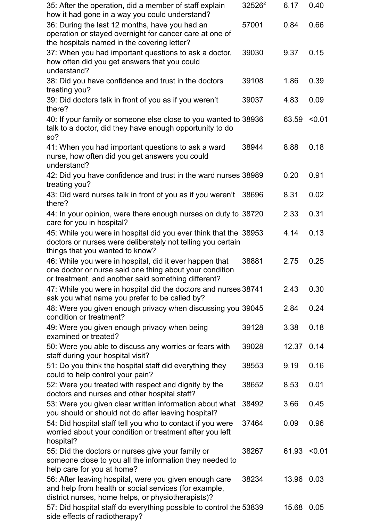| 35: After the operation, did a member of staff explain<br>how it had gone in a way you could understand?                                                                  | $32526^2$ | 6.17           | 0.40   |
|---------------------------------------------------------------------------------------------------------------------------------------------------------------------------|-----------|----------------|--------|
| 36: During the last 12 months, have you had an<br>operation or stayed overnight for cancer care at one of<br>the hospitals named in the covering letter?                  | 57001     | 0.84           | 0.66   |
| 37: When you had important questions to ask a doctor,<br>how often did you get answers that you could<br>understand?                                                      | 39030     | 9.37           | 0.15   |
| 38: Did you have confidence and trust in the doctors<br>treating you?                                                                                                     | 39108     | 1.86           | 0.39   |
| 39: Did doctors talk in front of you as if you weren't<br>there?                                                                                                          | 39037     | 4.83           | 0.09   |
| 40: If your family or someone else close to you wanted to 38936<br>talk to a doctor, did they have enough opportunity to do<br>SO <sub>2</sub>                            |           | 63.59          | < 0.01 |
| 41: When you had important questions to ask a ward<br>nurse, how often did you get answers you could<br>understand?                                                       | 38944     | 8.88           | 0.18   |
| 42: Did you have confidence and trust in the ward nurses 38989<br>treating you?                                                                                           |           | 0.20           | 0.91   |
| 43: Did ward nurses talk in front of you as if you weren't<br>there?                                                                                                      | 38696     | 8.31           | 0.02   |
| 44: In your opinion, were there enough nurses on duty to 38720<br>care for you in hospital?                                                                               |           | 2.33           | 0.31   |
| 45: While you were in hospital did you ever think that the 38953<br>doctors or nurses were deliberately not telling you certain<br>things that you wanted to know?        |           | 4.14           | 0.13   |
| 46: While you were in hospital, did it ever happen that<br>one doctor or nurse said one thing about your condition<br>or treatment, and another said something different? | 38881     | 2.75           | 0.25   |
| 47: While you were in hospital did the doctors and nurses 38741<br>ask you what name you prefer to be called by?                                                          |           | 2.43           | 0.30   |
| 48: Were you given enough privacy when discussing you 39045<br>condition or treatment?                                                                                    |           | 2.84           | 0.24   |
| 49: Were you given enough privacy when being<br>examined or treated?                                                                                                      | 39128     | 3.38           | 0.18   |
| 50: Were you able to discuss any worries or fears with<br>staff during your hospital visit?                                                                               | 39028     | 12.37          | 0.14   |
| 51: Do you think the hospital staff did everything they<br>could to help control your pain?                                                                               | 38553     | 9.19           | 0.16   |
| 52: Were you treated with respect and dignity by the<br>doctors and nurses and other hospital staff?                                                                      | 38652     | 8.53           | 0.01   |
| 53: Were you given clear written information about what<br>you should or should not do after leaving hospital?                                                            | 38492     | 3.66           | 0.45   |
| 54: Did hospital staff tell you who to contact if you were<br>worried about your condition or treatment after you left<br>hospital?                                       | 37464     | 0.09           | 0.96   |
| 55: Did the doctors or nurses give your family or<br>someone close to you all the information they needed to<br>help care for you at home?                                | 38267     | $61.93$ < 0.01 |        |
| 56: After leaving hospital, were you given enough care<br>and help from health or social services (for example,<br>district nurses, home helps, or physiotherapists)?     | 38234     | 13.96          | 0.03   |
| 57: Did hospital staff do everything possible to control the 53839<br>side effects of radiotherapy?                                                                       |           | 15.68          | 0.05   |